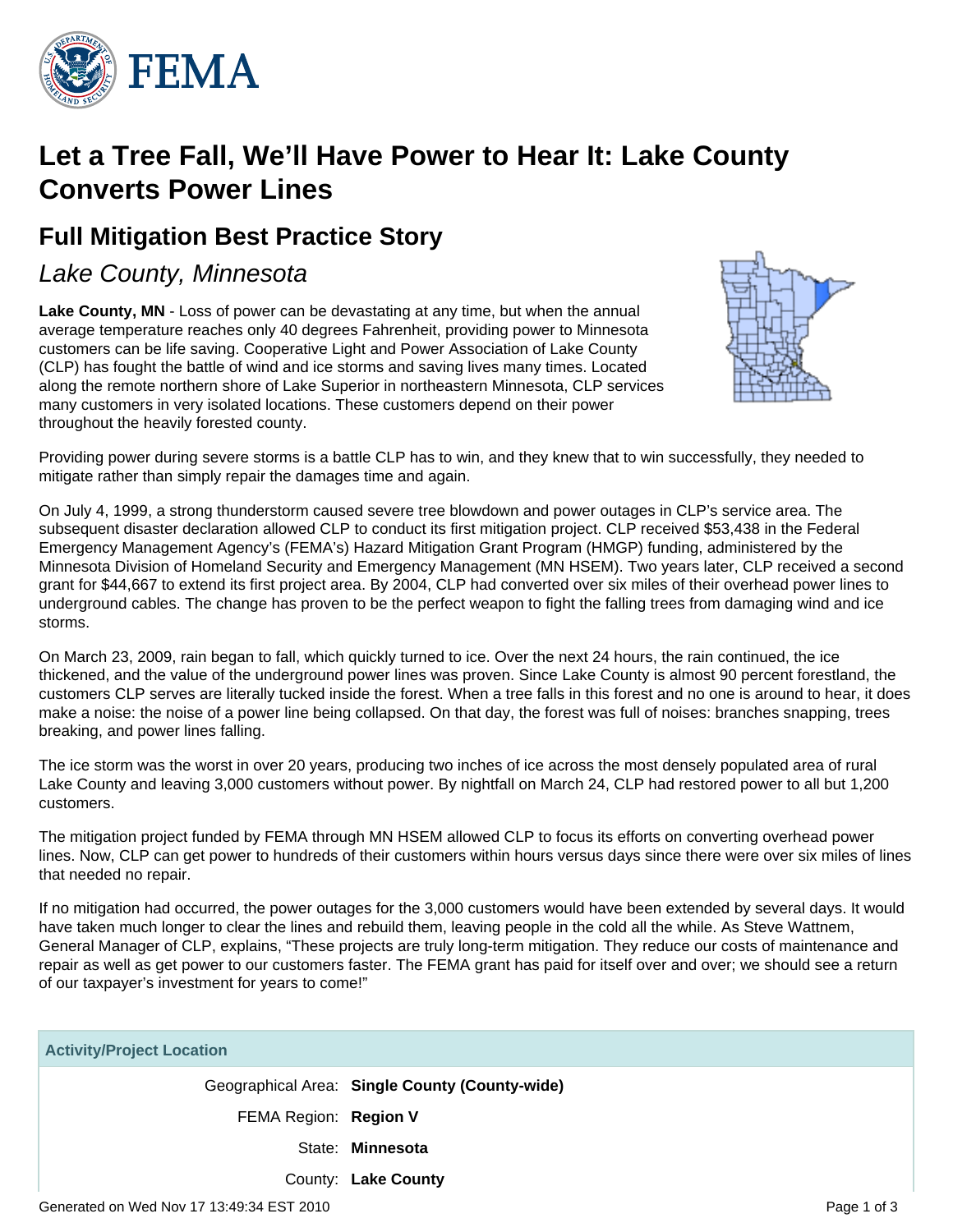

# **Let a Tree Fall, We'll Have Power to Hear It: Lake County Converts Power Lines**

## **Full Mitigation Best Practice Story**

## Lake County, Minnesota

Lake County, MN - Loss of power can be devastating at any time, but when the annual average temperature reaches only 40 degrees Fahrenheit, providing power to Minnesota customers can be life saving. Cooperative Light and Power Association of Lake County (CLP) has fought the battle of wind and ice storms and saving lives many times. Located along the remote northern shore of Lake Superior in northeastern Minnesota, CLP services many customers in very isolated locations. These customers depend on their power throughout the heavily forested county.



Providing power during severe storms is a battle CLP has to win, and they knew that to win successfully, they needed to mitigate rather than simply repair the damages time and again.

On July 4, 1999, a strong thunderstorm caused severe tree blowdown and power outages in CLP's service area. The subsequent disaster declaration allowed CLP to conduct its first mitigation project. CLP received \$53,438 in the Federal Emergency Management Agency's (FEMA's) Hazard Mitigation Grant Program (HMGP) funding, administered by the Minnesota Division of Homeland Security and Emergency Management (MN HSEM). Two years later, CLP received a second grant for \$44,667 to extend its first project area. By 2004, CLP had converted over six miles of their overhead power lines to underground cables. The change has proven to be the perfect weapon to fight the falling trees from damaging wind and ice storms.

On March 23, 2009, rain began to fall, which quickly turned to ice. Over the next 24 hours, the rain continued, the ice thickened, and the value of the underground power lines was proven. Since Lake County is almost 90 percent forestland, the customers CLP serves are literally tucked inside the forest. When a tree falls in this forest and no one is around to hear, it does make a noise: the noise of a power line being collapsed. On that day, the forest was full of noises: branches snapping, trees breaking, and power lines falling.

The ice storm was the worst in over 20 years, producing two inches of ice across the most densely populated area of rural Lake County and leaving 3,000 customers without power. By nightfall on March 24, CLP had restored power to all but 1,200 customers.

The mitigation project funded by FEMA through MN HSEM allowed CLP to focus its efforts on converting overhead power lines. Now, CLP can get power to hundreds of their customers within hours versus days since there were over six miles of lines that needed no repair.

If no mitigation had occurred, the power outages for the 3,000 customers would have been extended by several days. It would have taken much longer to clear the lines and rebuild them, leaving people in the cold all the while. As Steve Wattnem, General Manager of CLP, explains, "These projects are truly long-term mitigation. They reduce our costs of maintenance and repair as well as get power to our customers faster. The FEMA grant has paid for itself over and over; we should see a return of our taxpayer's investment for years to come!"

| <b>Activity/Project Location</b> |                                                |
|----------------------------------|------------------------------------------------|
|                                  | Geographical Area: Single County (County-wide) |
| FEMA Region: Region V            |                                                |
|                                  | State: Minnesota                               |
|                                  | County: Lake County                            |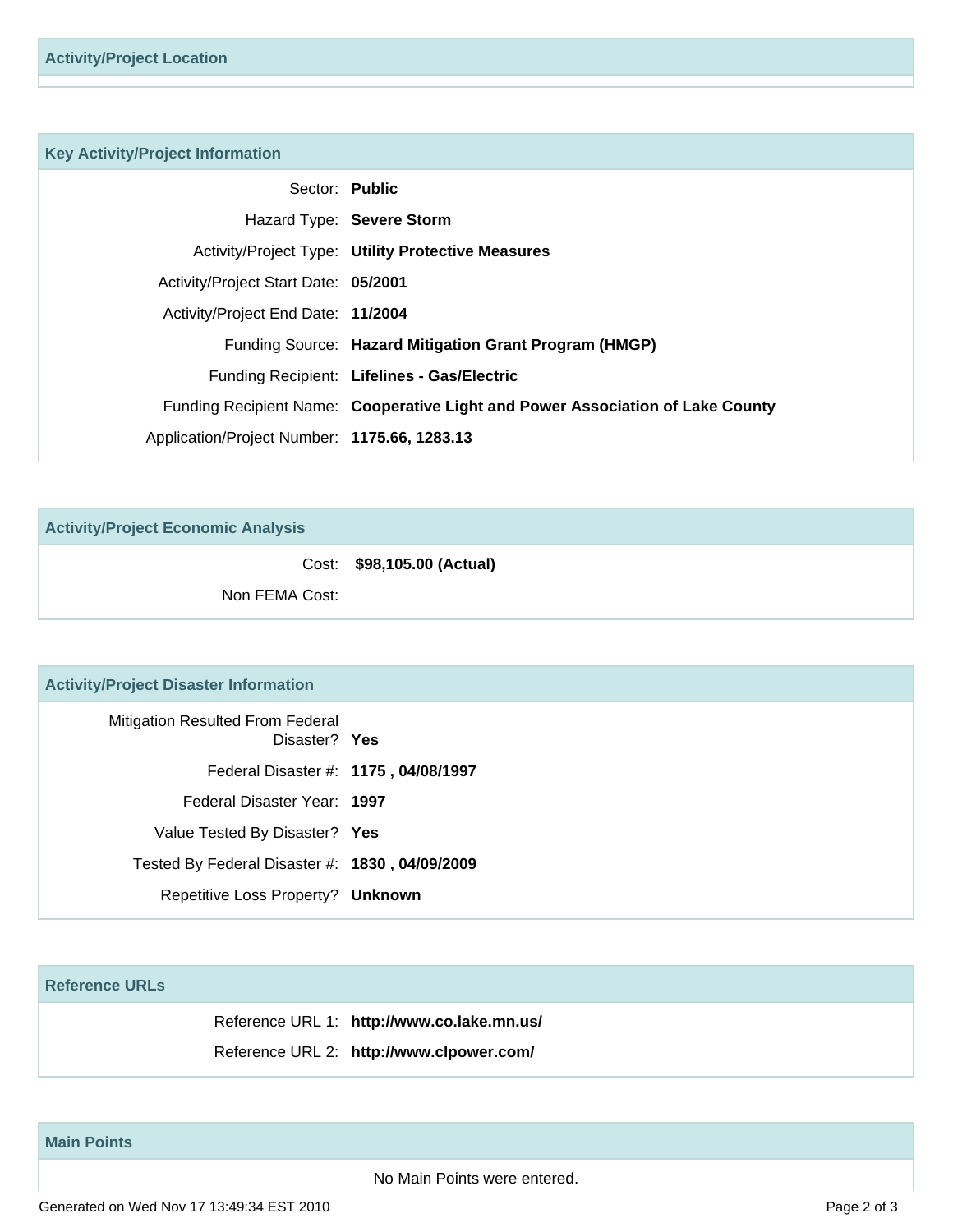| <b>Key Activity/Project Information</b>      |                                                                                |
|----------------------------------------------|--------------------------------------------------------------------------------|
| Sector: Public                               |                                                                                |
|                                              | Hazard Type: Severe Storm                                                      |
|                                              | <b>Activity/Project Type: Utility Protective Measures</b>                      |
| Activity/Project Start Date: 05/2001         |                                                                                |
| Activity/Project End Date: 11/2004           |                                                                                |
|                                              | Funding Source: Hazard Mitigation Grant Program (HMGP)                         |
|                                              | Funding Recipient: Lifelines - Gas/Electric                                    |
|                                              | Funding Recipient Name: Cooperative Light and Power Association of Lake County |
| Application/Project Number: 1175.66, 1283.13 |                                                                                |
|                                              |                                                                                |

**Activity/Project Economic Analysis**

Cost: **\$98,105.00 (Actual)**

Non FEMA Cost:

### **Activity/Project Disaster Information**

| <b>Mitigation Resulted From Federal</b><br>Disaster? Yes |
|----------------------------------------------------------|
| Federal Disaster #: 1175, 04/08/1997                     |
| Federal Disaster Year: 1997                              |
| Value Tested By Disaster? Yes                            |
| Tested By Federal Disaster #: 1830, 04/09/2009           |
| Repetitive Loss Property? Unknown                        |
|                                                          |

#### **Reference URLs**

Reference URL 1: **http://www.co.lake.mn.us/**

Reference URL 2: **http://www.clpower.com/**

### **Main Points**

No Main Points were entered.